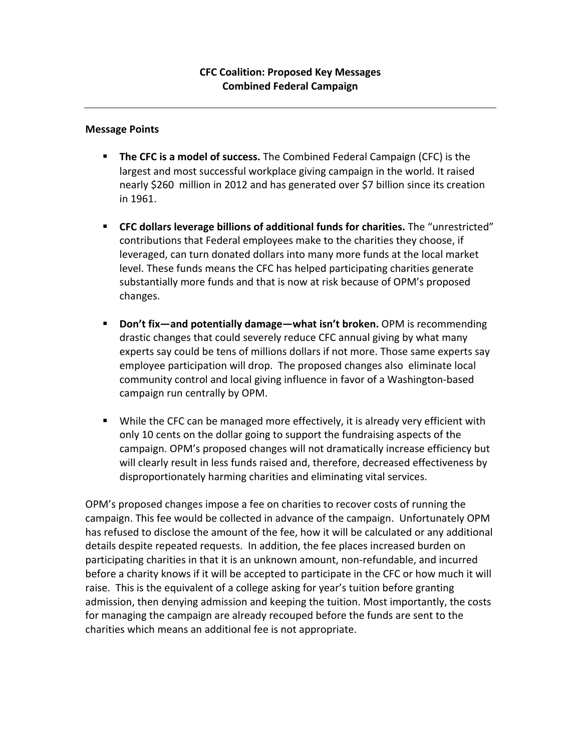## **Message Points**

- **The CFC is a model of success.** The Combined Federal Campaign (CFC) is the largest and most successful workplace giving campaign in the world. It raised nearly \$260 million in 2012 and has generated over \$7 billion since its creation in 1961.
- **FC dollars leverage billions of additional funds for charities.** The "unrestricted" contributions that Federal employees make to the charities they choose, if leveraged, can turn donated dollars into many more funds at the local market level. These funds means the CFC has helped participating charities generate substantially more funds and that is now at risk because of OPM's proposed changes.
- **Don't fix—and potentially damage—what isn't broken.** OPM is recommending drastic changes that could severely reduce CFC annual giving by what many experts say could be tens of millions dollars if not more. Those same experts say employee participation will drop. The proposed changes also eliminate local community control and local giving influence in favor of a Washington-based campaign run centrally by OPM.
- While the CFC can be managed more effectively, it is already very efficient with only 10 cents on the dollar going to support the fundraising aspects of the campaign. OPM's proposed changes will not dramatically increase efficiency but will clearly result in less funds raised and, therefore, decreased effectiveness by disproportionately harming charities and eliminating vital services.

OPM's proposed changes impose a fee on charities to recover costs of running the campaign. This fee would be collected in advance of the campaign. Unfortunately OPM has refused to disclose the amount of the fee, how it will be calculated or any additional details despite repeated requests. In addition, the fee places increased burden on participating charities in that it is an unknown amount, non-refundable, and incurred before a charity knows if it will be accepted to participate in the CFC or how much it will raise. This is the equivalent of a college asking for year's tuition before granting admission, then denying admission and keeping the tuition. Most importantly, the costs for managing the campaign are already recouped before the funds are sent to the charities which means an additional fee is not appropriate.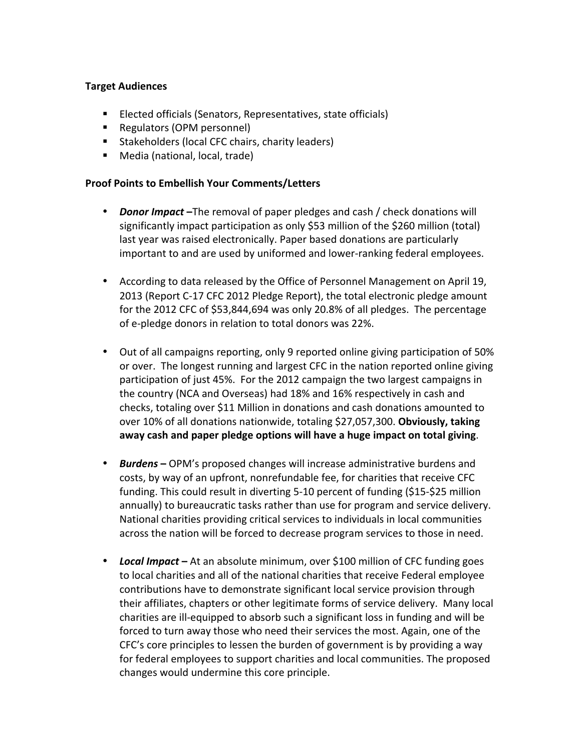## **Target Audiences**

- Elected officials (Senators, Representatives, state officials)
- Regulators (OPM personnel)
- Stakeholders (local CFC chairs, charity leaders)
- Media (national, local, trade)

## **Proof Points to Embellish Your Comments/Letters**

- *Donor Impact* –The removal of paper pledges and cash / check donations will significantly impact participation as only \$53 million of the \$260 million (total) last year was raised electronically. Paper based donations are particularly important to and are used by uniformed and lower-ranking federal employees.
- According to data released by the Office of Personnel Management on April 19, 2013 (Report C-17 CFC 2012 Pledge Report), the total electronic pledge amount for the 2012 CFC of \$53,844,694 was only 20.8% of all pledges. The percentage of e-pledge donors in relation to total donors was 22%.
- Out of all campaigns reporting, only 9 reported online giving participation of 50% or over. The longest running and largest CFC in the nation reported online giving participation of just 45%. For the 2012 campaign the two largest campaigns in the country (NCA and Overseas) had 18% and 16% respectively in cash and checks, totaling over \$11 Million in donations and cash donations amounted to over 10% of all donations nationwide, totaling \$27,057,300. Obviously, taking away cash and paper pledge options will have a huge impact on total giving.
- Burdens OPM's proposed changes will increase administrative burdens and costs, by way of an upfront, nonrefundable fee, for charities that receive CFC funding. This could result in diverting 5-10 percent of funding (\$15-\$25 million annually) to bureaucratic tasks rather than use for program and service delivery. National charities providing critical services to individuals in local communities across the nation will be forced to decrease program services to those in need.
- Local Impact At an absolute minimum, over \$100 million of CFC funding goes to local charities and all of the national charities that receive Federal employee contributions have to demonstrate significant local service provision through their affiliates, chapters or other legitimate forms of service delivery. Many local charities are ill-equipped to absorb such a significant loss in funding and will be forced to turn away those who need their services the most. Again, one of the CFC's core principles to lessen the burden of government is by providing a way for federal employees to support charities and local communities. The proposed changes would undermine this core principle.